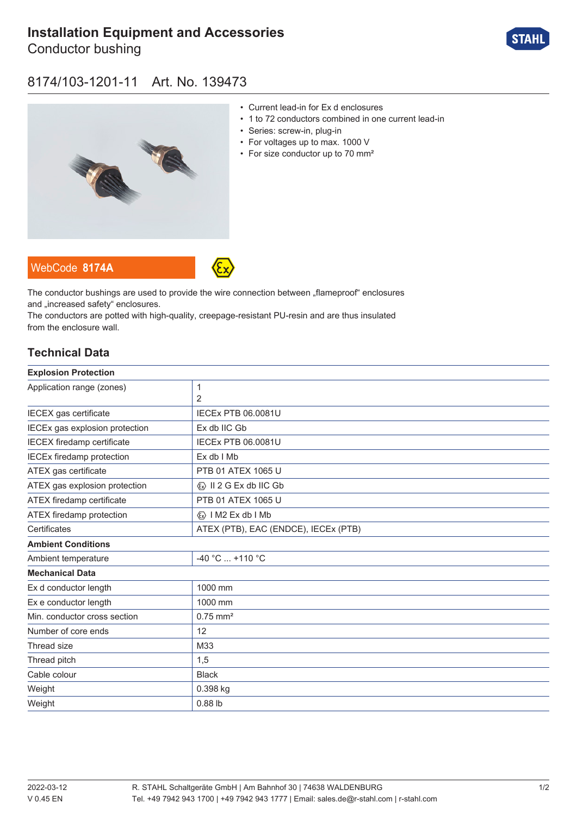# **[Installation Equipment and Accessories](https://r-stahl.com/en/global/products/materialid/139473)**

Conductor bushing



### 8174/103-1201-11 Art. No. 139473



- Current lead-in for Ex d enclosures
- 1 to 72 conductors combined in one current lead-in
- Series: screw-in, plug-in
- For voltages up to max. 1000 V
- For size conductor up to 70 mm<sup>2</sup>





The conductor bushings are used to provide the wire connection between "flameproof" enclosures and .increased safety" enclosures.

The conductors are potted with high-quality, creepage-resistant PU-resin and are thus insulated from the enclosure wall.

#### **Technical Data**

| <b>Explosion Protection</b>       |                                         |
|-----------------------------------|-----------------------------------------|
| Application range (zones)         | 1                                       |
|                                   | 2                                       |
| IECEX gas certificate             | <b>IECEX PTB 06.0081U</b>               |
| IECEx gas explosion protection    | Ex db IIC Gb                            |
| <b>IECEX</b> firedamp certificate | <b>IECEx PTB 06.0081U</b>               |
| <b>IECEx firedamp protection</b>  | Ex db I Mb                              |
| ATEX gas certificate              | PTB 01 ATEX 1065 U                      |
| ATEX gas explosion protection     | $\langle x \rangle$ II 2 G Ex db IIC Gb |
| ATEX firedamp certificate         | PTB 01 ATEX 1065 U                      |
| ATEX firedamp protection          | $\langle x \rangle$   M2 Ex db   Mb     |
| Certificates                      | ATEX (PTB), EAC (ENDCE), IECEx (PTB)    |
| <b>Ambient Conditions</b>         |                                         |
| Ambient temperature               | -40 °C  +110 °C                         |
| <b>Mechanical Data</b>            |                                         |
| Ex d conductor length             | 1000 mm                                 |
| Ex e conductor length             | 1000 mm                                 |
| Min. conductor cross section      | $0.75$ mm <sup>2</sup>                  |
| Number of core ends               | 12                                      |
| Thread size                       | M33                                     |
| Thread pitch                      | 1,5                                     |
| Cable colour                      | <b>Black</b>                            |
| Weight                            | 0.398 kg                                |
| Weight                            | $0.88$ lb                               |